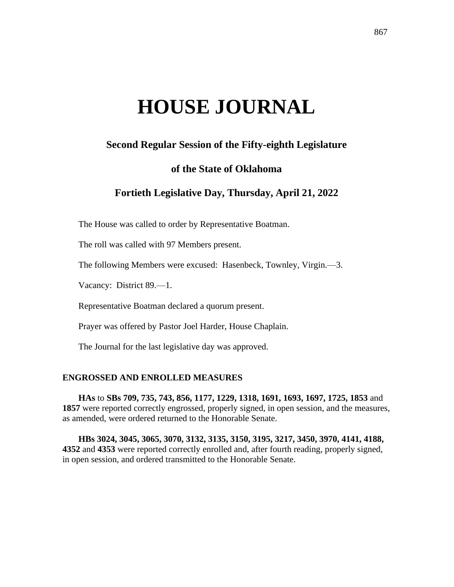# **HOUSE JOURNAL**

# **Second Regular Session of the Fifty-eighth Legislature**

# **of the State of Oklahoma**

# **Fortieth Legislative Day, Thursday, April 21, 2022**

The House was called to order by Representative Boatman.

The roll was called with 97 Members present.

The following Members were excused: Hasenbeck, Townley, Virgin.—3.

Vacancy: District 89.—1.

Representative Boatman declared a quorum present.

Prayer was offered by Pastor Joel Harder, House Chaplain.

The Journal for the last legislative day was approved.

#### **ENGROSSED AND ENROLLED MEASURES**

**HAs** to **SBs 709, 735, 743, 856, 1177, 1229, 1318, 1691, 1693, 1697, 1725, 1853** and **1857** were reported correctly engrossed, properly signed, in open session, and the measures, as amended, were ordered returned to the Honorable Senate.

**HBs 3024, 3045, 3065, 3070, 3132, 3135, 3150, 3195, 3217, 3450, 3970, 4141, 4188, 4352** and **4353** were reported correctly enrolled and, after fourth reading, properly signed, in open session, and ordered transmitted to the Honorable Senate.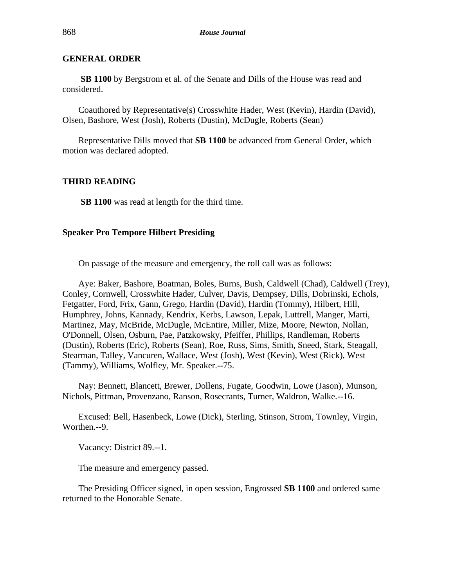## **GENERAL ORDER**

**SB 1100** by Bergstrom et al. of the Senate and Dills of the House was read and considered.

Coauthored by Representative(s) Crosswhite Hader, West (Kevin), Hardin (David), Olsen, Bashore, West (Josh), Roberts (Dustin), McDugle, Roberts (Sean)

Representative Dills moved that **SB 1100** be advanced from General Order, which motion was declared adopted.

#### **THIRD READING**

**SB 1100** was read at length for the third time.

## **Speaker Pro Tempore Hilbert Presiding**

On passage of the measure and emergency, the roll call was as follows:

Aye: Baker, Bashore, Boatman, Boles, Burns, Bush, Caldwell (Chad), Caldwell (Trey), Conley, Cornwell, Crosswhite Hader, Culver, Davis, Dempsey, Dills, Dobrinski, Echols, Fetgatter, Ford, Frix, Gann, Grego, Hardin (David), Hardin (Tommy), Hilbert, Hill, Humphrey, Johns, Kannady, Kendrix, Kerbs, Lawson, Lepak, Luttrell, Manger, Marti, Martinez, May, McBride, McDugle, McEntire, Miller, Mize, Moore, Newton, Nollan, O'Donnell, Olsen, Osburn, Pae, Patzkowsky, Pfeiffer, Phillips, Randleman, Roberts (Dustin), Roberts (Eric), Roberts (Sean), Roe, Russ, Sims, Smith, Sneed, Stark, Steagall, Stearman, Talley, Vancuren, Wallace, West (Josh), West (Kevin), West (Rick), West (Tammy), Williams, Wolfley, Mr. Speaker.--75.

Nay: Bennett, Blancett, Brewer, Dollens, Fugate, Goodwin, Lowe (Jason), Munson, Nichols, Pittman, Provenzano, Ranson, Rosecrants, Turner, Waldron, Walke.--16.

Excused: Bell, Hasenbeck, Lowe (Dick), Sterling, Stinson, Strom, Townley, Virgin, Worthen.--9.

Vacancy: District 89.--1.

The measure and emergency passed.

The Presiding Officer signed, in open session, Engrossed **SB 1100** and ordered same returned to the Honorable Senate.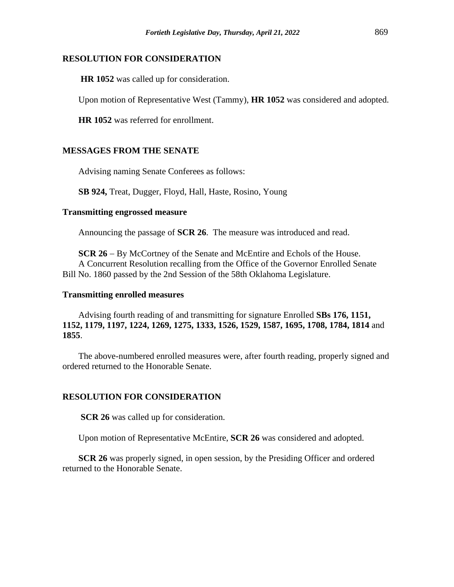# **RESOLUTION FOR CONSIDERATION**

**HR 1052** was called up for consideration.

Upon motion of Representative West (Tammy), **HR 1052** was considered and adopted.

**HR 1052** was referred for enrollment.

# **MESSAGES FROM THE SENATE**

Advising naming Senate Conferees as follows:

**SB 924,** Treat, Dugger, Floyd, Hall, Haste, Rosino, Young

# **Transmitting engrossed measure**

Announcing the passage of **SCR 26**. The measure was introduced and read.

**SCR 26** − By McCortney of the Senate and McEntire and Echols of the House. A Concurrent Resolution recalling from the Office of the Governor Enrolled Senate Bill No. 1860 passed by the 2nd Session of the 58th Oklahoma Legislature.

#### **Transmitting enrolled measures**

Advising fourth reading of and transmitting for signature Enrolled **SBs 176, 1151, 1152, 1179, 1197, 1224, 1269, 1275, 1333, 1526, 1529, 1587, 1695, 1708, 1784, 1814** and **1855**.

The above-numbered enrolled measures were, after fourth reading, properly signed and ordered returned to the Honorable Senate.

# **RESOLUTION FOR CONSIDERATION**

**SCR 26** was called up for consideration.

Upon motion of Representative McEntire, **SCR 26** was considered and adopted.

**SCR 26** was properly signed, in open session, by the Presiding Officer and ordered returned to the Honorable Senate.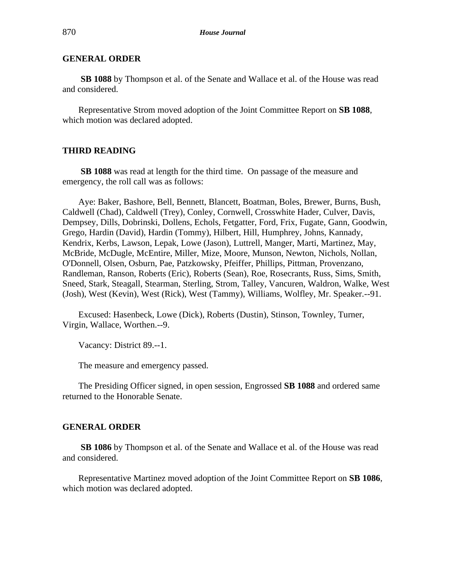## **GENERAL ORDER**

**SB 1088** by Thompson et al. of the Senate and Wallace et al. of the House was read and considered.

Representative Strom moved adoption of the Joint Committee Report on **SB 1088**, which motion was declared adopted.

#### **THIRD READING**

**SB 1088** was read at length for the third time. On passage of the measure and emergency, the roll call was as follows:

Aye: Baker, Bashore, Bell, Bennett, Blancett, Boatman, Boles, Brewer, Burns, Bush, Caldwell (Chad), Caldwell (Trey), Conley, Cornwell, Crosswhite Hader, Culver, Davis, Dempsey, Dills, Dobrinski, Dollens, Echols, Fetgatter, Ford, Frix, Fugate, Gann, Goodwin, Grego, Hardin (David), Hardin (Tommy), Hilbert, Hill, Humphrey, Johns, Kannady, Kendrix, Kerbs, Lawson, Lepak, Lowe (Jason), Luttrell, Manger, Marti, Martinez, May, McBride, McDugle, McEntire, Miller, Mize, Moore, Munson, Newton, Nichols, Nollan, O'Donnell, Olsen, Osburn, Pae, Patzkowsky, Pfeiffer, Phillips, Pittman, Provenzano, Randleman, Ranson, Roberts (Eric), Roberts (Sean), Roe, Rosecrants, Russ, Sims, Smith, Sneed, Stark, Steagall, Stearman, Sterling, Strom, Talley, Vancuren, Waldron, Walke, West (Josh), West (Kevin), West (Rick), West (Tammy), Williams, Wolfley, Mr. Speaker.--91.

Excused: Hasenbeck, Lowe (Dick), Roberts (Dustin), Stinson, Townley, Turner, Virgin, Wallace, Worthen.--9.

Vacancy: District 89.--1.

The measure and emergency passed.

The Presiding Officer signed, in open session, Engrossed **SB 1088** and ordered same returned to the Honorable Senate.

#### **GENERAL ORDER**

**SB 1086** by Thompson et al. of the Senate and Wallace et al. of the House was read and considered.

Representative Martinez moved adoption of the Joint Committee Report on **SB 1086**, which motion was declared adopted.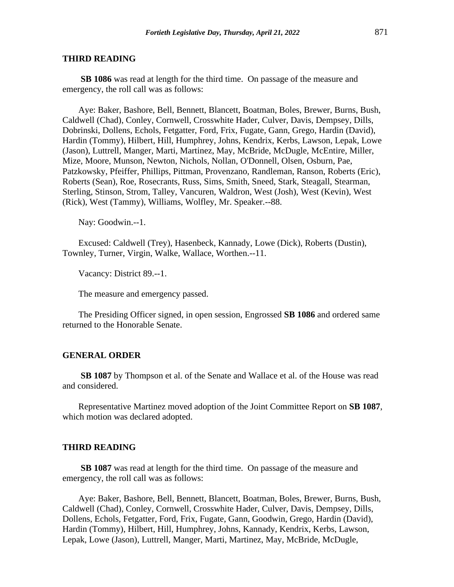#### **THIRD READING**

**SB 1086** was read at length for the third time. On passage of the measure and emergency, the roll call was as follows:

Aye: Baker, Bashore, Bell, Bennett, Blancett, Boatman, Boles, Brewer, Burns, Bush, Caldwell (Chad), Conley, Cornwell, Crosswhite Hader, Culver, Davis, Dempsey, Dills, Dobrinski, Dollens, Echols, Fetgatter, Ford, Frix, Fugate, Gann, Grego, Hardin (David), Hardin (Tommy), Hilbert, Hill, Humphrey, Johns, Kendrix, Kerbs, Lawson, Lepak, Lowe (Jason), Luttrell, Manger, Marti, Martinez, May, McBride, McDugle, McEntire, Miller, Mize, Moore, Munson, Newton, Nichols, Nollan, O'Donnell, Olsen, Osburn, Pae, Patzkowsky, Pfeiffer, Phillips, Pittman, Provenzano, Randleman, Ranson, Roberts (Eric), Roberts (Sean), Roe, Rosecrants, Russ, Sims, Smith, Sneed, Stark, Steagall, Stearman, Sterling, Stinson, Strom, Talley, Vancuren, Waldron, West (Josh), West (Kevin), West (Rick), West (Tammy), Williams, Wolfley, Mr. Speaker.--88.

Nay: Goodwin.--1.

Excused: Caldwell (Trey), Hasenbeck, Kannady, Lowe (Dick), Roberts (Dustin), Townley, Turner, Virgin, Walke, Wallace, Worthen.--11.

Vacancy: District 89.--1.

The measure and emergency passed.

The Presiding Officer signed, in open session, Engrossed **SB 1086** and ordered same returned to the Honorable Senate.

#### **GENERAL ORDER**

**SB 1087** by Thompson et al. of the Senate and Wallace et al. of the House was read and considered.

Representative Martinez moved adoption of the Joint Committee Report on **SB 1087**, which motion was declared adopted.

#### **THIRD READING**

**SB 1087** was read at length for the third time. On passage of the measure and emergency, the roll call was as follows:

Aye: Baker, Bashore, Bell, Bennett, Blancett, Boatman, Boles, Brewer, Burns, Bush, Caldwell (Chad), Conley, Cornwell, Crosswhite Hader, Culver, Davis, Dempsey, Dills, Dollens, Echols, Fetgatter, Ford, Frix, Fugate, Gann, Goodwin, Grego, Hardin (David), Hardin (Tommy), Hilbert, Hill, Humphrey, Johns, Kannady, Kendrix, Kerbs, Lawson, Lepak, Lowe (Jason), Luttrell, Manger, Marti, Martinez, May, McBride, McDugle,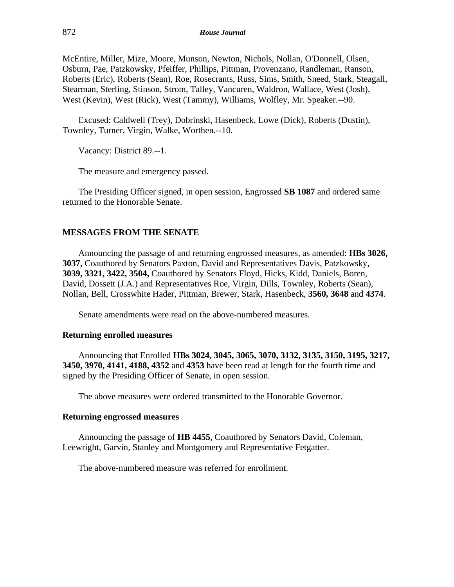McEntire, Miller, Mize, Moore, Munson, Newton, Nichols, Nollan, O'Donnell, Olsen, Osburn, Pae, Patzkowsky, Pfeiffer, Phillips, Pittman, Provenzano, Randleman, Ranson, Roberts (Eric), Roberts (Sean), Roe, Rosecrants, Russ, Sims, Smith, Sneed, Stark, Steagall, Stearman, Sterling, Stinson, Strom, Talley, Vancuren, Waldron, Wallace, West (Josh), West (Kevin), West (Rick), West (Tammy), Williams, Wolfley, Mr. Speaker.--90.

Excused: Caldwell (Trey), Dobrinski, Hasenbeck, Lowe (Dick), Roberts (Dustin), Townley, Turner, Virgin, Walke, Worthen.--10.

Vacancy: District 89.--1.

The measure and emergency passed.

The Presiding Officer signed, in open session, Engrossed **SB 1087** and ordered same returned to the Honorable Senate.

#### **MESSAGES FROM THE SENATE**

Announcing the passage of and returning engrossed measures, as amended: **HBs 3026, 3037,** Coauthored by Senators Paxton, David and Representatives Davis, Patzkowsky, **3039, 3321, 3422, 3504,** Coauthored by Senators Floyd, Hicks, Kidd, Daniels, Boren, David, Dossett (J.A.) and Representatives Roe, Virgin, Dills, Townley, Roberts (Sean), Nollan, Bell, Crosswhite Hader, Pittman, Brewer, Stark, Hasenbeck, **3560, 3648** and **4374**.

Senate amendments were read on the above-numbered measures.

#### **Returning enrolled measures**

Announcing that Enrolled **HBs 3024, 3045, 3065, 3070, 3132, 3135, 3150, 3195, 3217, 3450, 3970, 4141, 4188, 4352** and **4353** have been read at length for the fourth time and signed by the Presiding Officer of Senate, in open session.

The above measures were ordered transmitted to the Honorable Governor.

#### **Returning engrossed measures**

Announcing the passage of **HB 4455,** Coauthored by Senators David, Coleman, Leewright, Garvin, Stanley and Montgomery and Representative Fetgatter.

The above-numbered measure was referred for enrollment.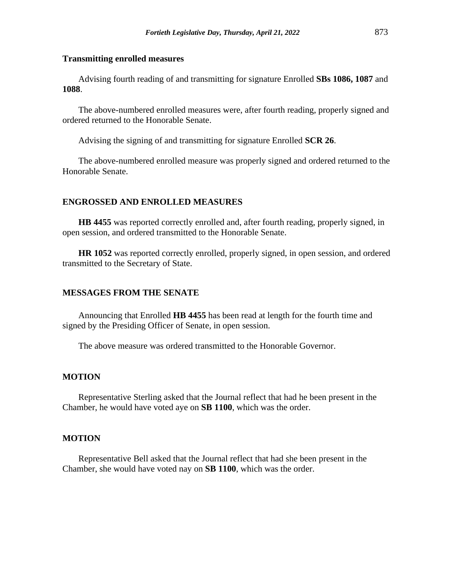#### **Transmitting enrolled measures**

Advising fourth reading of and transmitting for signature Enrolled **SBs 1086, 1087** and **1088**.

The above-numbered enrolled measures were, after fourth reading, properly signed and ordered returned to the Honorable Senate.

Advising the signing of and transmitting for signature Enrolled **SCR 26**.

The above-numbered enrolled measure was properly signed and ordered returned to the Honorable Senate.

#### **ENGROSSED AND ENROLLED MEASURES**

**HB 4455** was reported correctly enrolled and, after fourth reading, properly signed, in open session, and ordered transmitted to the Honorable Senate.

**HR 1052** was reported correctly enrolled, properly signed, in open session, and ordered transmitted to the Secretary of State.

## **MESSAGES FROM THE SENATE**

Announcing that Enrolled **HB 4455** has been read at length for the fourth time and signed by the Presiding Officer of Senate, in open session.

The above measure was ordered transmitted to the Honorable Governor.

# **MOTION**

Representative Sterling asked that the Journal reflect that had he been present in the Chamber, he would have voted aye on **SB 1100**, which was the order.

# **MOTION**

Representative Bell asked that the Journal reflect that had she been present in the Chamber, she would have voted nay on **SB 1100**, which was the order.